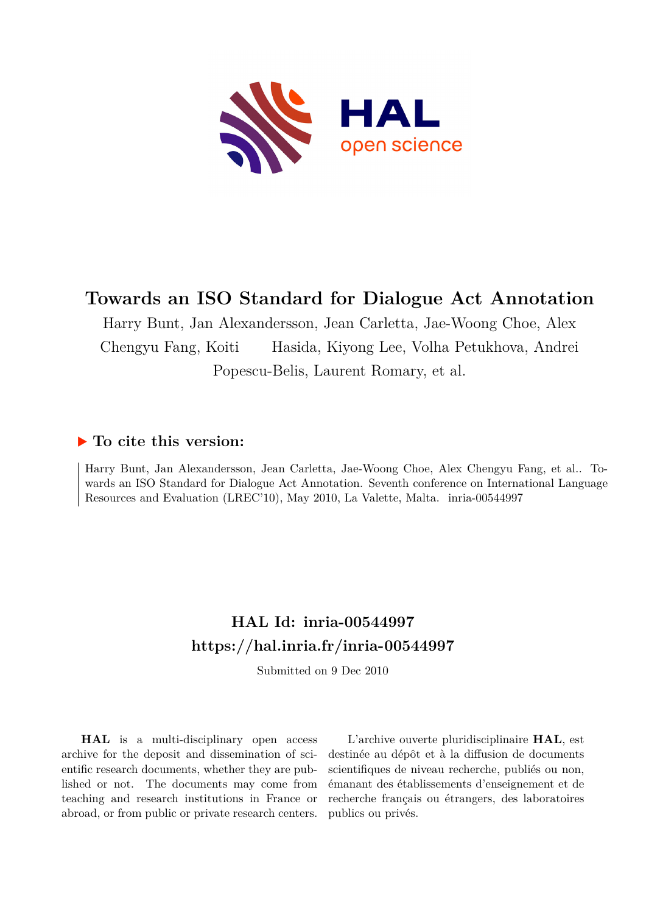

# **Towards an ISO Standard for Dialogue Act Annotation**

Harry Bunt, Jan Alexandersson, Jean Carletta, Jae-Woong Choe, Alex Chengyu Fang, Koiti Hasida, Kiyong Lee, Volha Petukhova, Andrei Popescu-Belis, Laurent Romary, et al.

## **To cite this version:**

Harry Bunt, Jan Alexandersson, Jean Carletta, Jae-Woong Choe, Alex Chengyu Fang, et al.. Towards an ISO Standard for Dialogue Act Annotation. Seventh conference on International Language Resources and Evaluation (LREC'10), May 2010, La Valette, Malta. inria-00544997

## **HAL Id: inria-00544997 <https://hal.inria.fr/inria-00544997>**

Submitted on 9 Dec 2010

**HAL** is a multi-disciplinary open access archive for the deposit and dissemination of scientific research documents, whether they are published or not. The documents may come from teaching and research institutions in France or abroad, or from public or private research centers.

L'archive ouverte pluridisciplinaire **HAL**, est destinée au dépôt et à la diffusion de documents scientifiques de niveau recherche, publiés ou non, émanant des établissements d'enseignement et de recherche français ou étrangers, des laboratoires publics ou privés.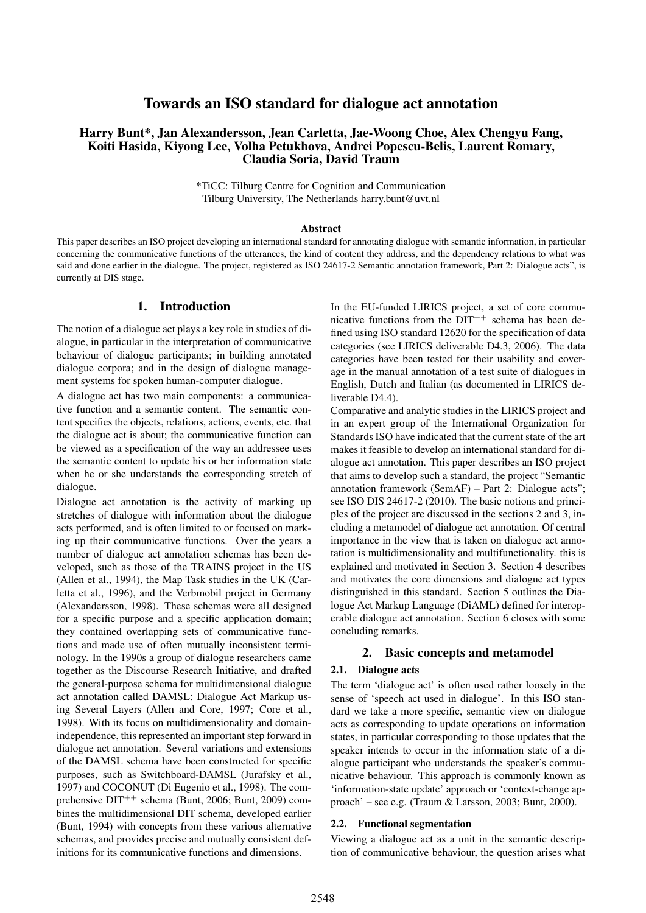## Towards an ISO standard for dialogue act annotation

## Harry Bunt\*, Jan Alexandersson, Jean Carletta, Jae-Woong Choe, Alex Chengyu Fang, Koiti Hasida, Kiyong Lee, Volha Petukhova, Andrei Popescu-Belis, Laurent Romary, Claudia Soria, David Traum

\*TiCC: Tilburg Centre for Cognition and Communication Tilburg University, The Netherlands harry.bunt@uvt.nl

#### **Abstract**

This paper describes an ISO project developing an international standard for annotating dialogue with semantic information, in particular concerning the communicative functions of the utterances, the kind of content they address, and the dependency relations to what was said and done earlier in the dialogue. The project, registered as ISO 24617-2 Semantic annotation framework, Part 2: Dialogue acts", is currently at DIS stage.

#### 1. Introduction

The notion of a dialogue act plays a key role in studies of dialogue, in particular in the interpretation of communicative behaviour of dialogue participants; in building annotated dialogue corpora; and in the design of dialogue management systems for spoken human-computer dialogue.

A dialogue act has two main components: a communicative function and a semantic content. The semantic content specifies the objects, relations, actions, events, etc. that the dialogue act is about; the communicative function can be viewed as a specification of the way an addressee uses the semantic content to update his or her information state when he or she understands the corresponding stretch of dialogue.

Dialogue act annotation is the activity of marking up stretches of dialogue with information about the dialogue acts performed, and is often limited to or focused on marking up their communicative functions. Over the years a number of dialogue act annotation schemas has been developed, such as those of the TRAINS project in the US (Allen et al., 1994), the Map Task studies in the UK (Carletta et al., 1996), and the Verbmobil project in Germany (Alexandersson, 1998). These schemas were all designed for a specific purpose and a specific application domain; they contained overlapping sets of communicative functions and made use of often mutually inconsistent terminology. In the 1990s a group of dialogue researchers came together as the Discourse Research Initiative, and drafted the general-purpose schema for multidimensional dialogue act annotation called DAMSL: Dialogue Act Markup using Several Layers (Allen and Core, 1997; Core et al., 1998). With its focus on multidimensionality and domainindependence, this represented an important step forward in dialogue act annotation. Several variations and extensions of the DAMSL schema have been constructed for specific purposes, such as Switchboard-DAMSL (Jurafsky et al., 1997) and COCONUT (Di Eugenio et al., 1998). The comprehensive  $DT^{++}$  schema (Bunt, 2006; Bunt, 2009) combines the multidimensional DIT schema, developed earlier (Bunt, 1994) with concepts from these various alternative schemas, and provides precise and mutually consistent definitions for its communicative functions and dimensions.

In the EU-funded LIRICS project, a set of core communicative functions from the  $DT^{++}$  schema has been defined using ISO standard 12620 for the specification of data categories (see LIRICS deliverable D4.3, 2006). The data categories have been tested for their usability and coverage in the manual annotation of a test suite of dialogues in English, Dutch and Italian (as documented in LIRICS deliverable D4.4).

Comparative and analytic studies in the LIRICS project and in an expert group of the International Organization for Standards ISO have indicated that the current state of the art makes it feasible to develop an international standard for dialogue act annotation. This paper describes an ISO project that aims to develop such a standard, the project "Semantic annotation framework (SemAF) – Part 2: Dialogue acts"; see ISO DIS 24617-2 (2010). The basic notions and principles of the project are discussed in the sections 2 and 3, including a metamodel of dialogue act annotation. Of central importance in the view that is taken on dialogue act annotation is multidimensionality and multifunctionality. this is explained and motivated in Section 3. Section 4 describes and motivates the core dimensions and dialogue act types distinguished in this standard. Section 5 outlines the Dialogue Act Markup Language (DiAML) defined for interoperable dialogue act annotation. Section 6 closes with some concluding remarks.

## 2. Basic concepts and metamodel

### 2.1. Dialogue acts

The term 'dialogue act' is often used rather loosely in the sense of 'speech act used in dialogue'. In this ISO standard we take a more specific, semantic view on dialogue acts as corresponding to update operations on information states, in particular corresponding to those updates that the speaker intends to occur in the information state of a dialogue participant who understands the speaker's communicative behaviour. This approach is commonly known as 'information-state update' approach or 'context-change approach' – see e.g. (Traum & Larsson, 2003; Bunt, 2000).

#### 2.2. Functional segmentation

Viewing a dialogue act as a unit in the semantic description of communicative behaviour, the question arises what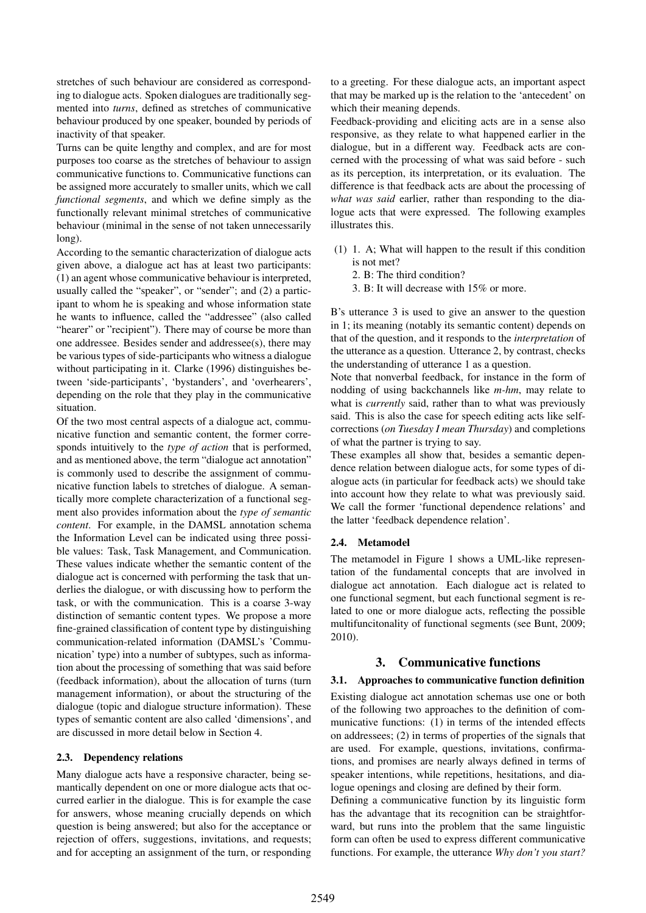stretches of such behaviour are considered as corresponding to dialogue acts. Spoken dialogues are traditionally segmented into *turns*, defined as stretches of communicative behaviour produced by one speaker, bounded by periods of inactivity of that speaker.

Turns can be quite lengthy and complex, and are for most purposes too coarse as the stretches of behaviour to assign communicative functions to. Communicative functions can be assigned more accurately to smaller units, which we call *functional segments*, and which we define simply as the functionally relevant minimal stretches of communicative behaviour (minimal in the sense of not taken unnecessarily long).

According to the semantic characterization of dialogue acts given above, a dialogue act has at least two participants: (1) an agent whose communicative behaviour is interpreted, usually called the "speaker", or "sender"; and (2) a participant to whom he is speaking and whose information state he wants to influence, called the "addressee" (also called "hearer" or "recipient"). There may of course be more than one addressee. Besides sender and addressee(s), there may be various types of side-participants who witness a dialogue without participating in it. Clarke (1996) distinguishes between 'side-participants', 'bystanders', and 'overhearers', depending on the role that they play in the communicative situation.

Of the two most central aspects of a dialogue act, communicative function and semantic content, the former corresponds intuitively to the *type of action* that is performed, and as mentioned above, the term "dialogue act annotation" is commonly used to describe the assignment of communicative function labels to stretches of dialogue. A semantically more complete characterization of a functional segment also provides information about the *type of semantic content*. For example, in the DAMSL annotation schema the Information Level can be indicated using three possible values: Task, Task Management, and Communication. These values indicate whether the semantic content of the dialogue act is concerned with performing the task that underlies the dialogue, or with discussing how to perform the task, or with the communication. This is a coarse 3-way distinction of semantic content types. We propose a more fine-grained classification of content type by distinguishing communication-related information (DAMSL's 'Communication' type) into a number of subtypes, such as information about the processing of something that was said before (feedback information), about the allocation of turns (turn management information), or about the structuring of the dialogue (topic and dialogue structure information). These types of semantic content are also called 'dimensions', and are discussed in more detail below in Section 4.

#### 2.3. Dependency relations

Many dialogue acts have a responsive character, being semantically dependent on one or more dialogue acts that occurred earlier in the dialogue. This is for example the case for answers, whose meaning crucially depends on which question is being answered; but also for the acceptance or rejection of offers, suggestions, invitations, and requests; and for accepting an assignment of the turn, or responding to a greeting. For these dialogue acts, an important aspect that may be marked up is the relation to the 'antecedent' on which their meaning depends.

Feedback-providing and eliciting acts are in a sense also responsive, as they relate to what happened earlier in the dialogue, but in a different way. Feedback acts are concerned with the processing of what was said before - such as its perception, its interpretation, or its evaluation. The difference is that feedback acts are about the processing of *what was said* earlier, rather than responding to the dialogue acts that were expressed. The following examples illustrates this.

- (1) 1. A; What will happen to the result if this condition is not met?
	- 2. B: The third condition?
	- 3. B: It will decrease with 15% or more.

B's utterance 3 is used to give an answer to the question in 1; its meaning (notably its semantic content) depends on that of the question, and it responds to the *interpretation* of the utterance as a question. Utterance 2, by contrast, checks the understanding of utterance 1 as a question.

Note that nonverbal feedback, for instance in the form of nodding of using backchannels like *m-hm*, may relate to what is *currently* said, rather than to what was previously said. This is also the case for speech editing acts like selfcorrections (*on Tuesday I mean Thursday*) and completions of what the partner is trying to say.

These examples all show that, besides a semantic dependence relation between dialogue acts, for some types of dialogue acts (in particular for feedback acts) we should take into account how they relate to what was previously said. We call the former 'functional dependence relations' and the latter 'feedback dependence relation'.

## 2.4. Metamodel

The metamodel in Figure 1 shows a UML-like representation of the fundamental concepts that are involved in dialogue act annotation. Each dialogue act is related to one functional segment, but each functional segment is related to one or more dialogue acts, reflecting the possible multifuncitonality of functional segments (see Bunt, 2009; 2010).

## 3. Communicative functions

#### 3.1. Approaches to communicative function definition

Existing dialogue act annotation schemas use one or both of the following two approaches to the definition of communicative functions: (1) in terms of the intended effects on addressees; (2) in terms of properties of the signals that are used. For example, questions, invitations, confirmations, and promises are nearly always defined in terms of speaker intentions, while repetitions, hesitations, and dialogue openings and closing are defined by their form.

Defining a communicative function by its linguistic form has the advantage that its recognition can be straightforward, but runs into the problem that the same linguistic form can often be used to express different communicative functions. For example, the utterance *Why don't you start?*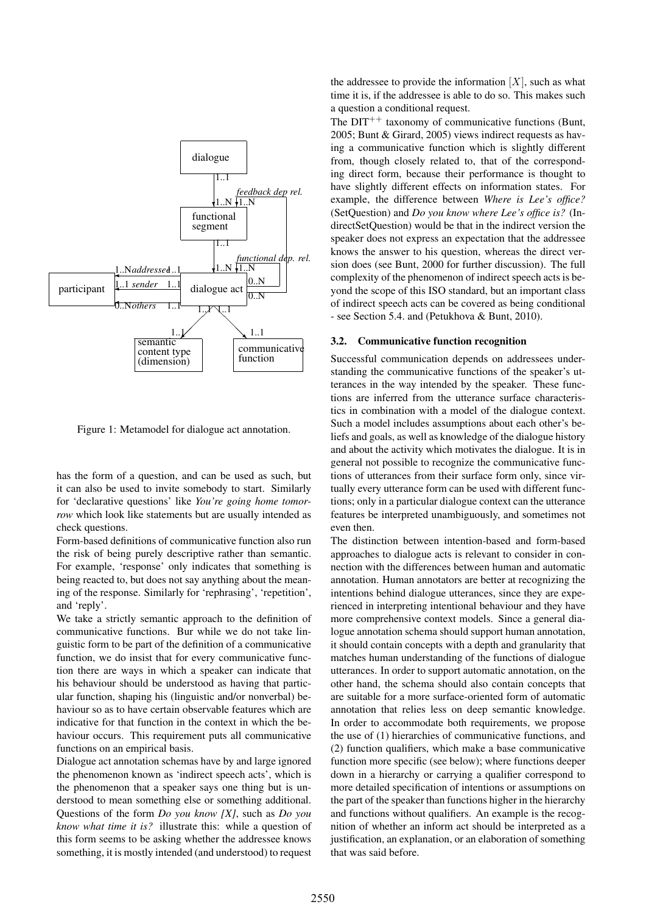

Figure 1: Metamodel for dialogue act annotation.

has the form of a question, and can be used as such, but it can also be used to invite somebody to start. Similarly for 'declarative questions' like *You're going home tomorrow* which look like statements but are usually intended as check questions.

Form-based definitions of communicative function also run the risk of being purely descriptive rather than semantic. For example, 'response' only indicates that something is being reacted to, but does not say anything about the meaning of the response. Similarly for 'rephrasing', 'repetition', and 'reply'.

We take a strictly semantic approach to the definition of communicative functions. Bur while we do not take linguistic form to be part of the definition of a communicative function, we do insist that for every communicative function there are ways in which a speaker can indicate that his behaviour should be understood as having that particular function, shaping his (linguistic and/or nonverbal) behaviour so as to have certain observable features which are indicative for that function in the context in which the behaviour occurs. This requirement puts all communicative functions on an empirical basis.

Dialogue act annotation schemas have by and large ignored the phenomenon known as 'indirect speech acts', which is the phenomenon that a speaker says one thing but is understood to mean something else or something additional. Questions of the form *Do you know [X]*, such as *Do you know what time it is?* illustrate this: while a question of this form seems to be asking whether the addressee knows something, it is mostly intended (and understood) to request the addressee to provide the information  $[X]$ , such as what time it is, if the addressee is able to do so. This makes such a question a conditional request.

The  $DT^{++}$  taxonomy of communicative functions (Bunt, 2005; Bunt & Girard, 2005) views indirect requests as having a communicative function which is slightly different from, though closely related to, that of the corresponding direct form, because their performance is thought to have slightly different effects on information states. For example, the difference between *Where is Lee's office?* (SetQuestion) and *Do you know where Lee's office is?* (IndirectSetQuestion) would be that in the indirect version the speaker does not express an expectation that the addressee knows the answer to his question, whereas the direct version does (see Bunt, 2000 for further discussion). The full complexity of the phenomenon of indirect speech acts is beyond the scope of this ISO standard, but an important class of indirect speech acts can be covered as being conditional - see Section 5.4. and (Petukhova & Bunt, 2010).

#### 3.2. Communicative function recognition

Successful communication depends on addressees understanding the communicative functions of the speaker's utterances in the way intended by the speaker. These functions are inferred from the utterance surface characteristics in combination with a model of the dialogue context. Such a model includes assumptions about each other's beliefs and goals, as well as knowledge of the dialogue history and about the activity which motivates the dialogue. It is in general not possible to recognize the communicative functions of utterances from their surface form only, since virtually every utterance form can be used with different functions; only in a particular dialogue context can the utterance features be interpreted unambiguously, and sometimes not even then.

The distinction between intention-based and form-based approaches to dialogue acts is relevant to consider in connection with the differences between human and automatic annotation. Human annotators are better at recognizing the intentions behind dialogue utterances, since they are experienced in interpreting intentional behaviour and they have more comprehensive context models. Since a general dialogue annotation schema should support human annotation, it should contain concepts with a depth and granularity that matches human understanding of the functions of dialogue utterances. In order to support automatic annotation, on the other hand, the schema should also contain concepts that are suitable for a more surface-oriented form of automatic annotation that relies less on deep semantic knowledge. In order to accommodate both requirements, we propose the use of (1) hierarchies of communicative functions, and (2) function qualifiers, which make a base communicative function more specific (see below); where functions deeper down in a hierarchy or carrying a qualifier correspond to more detailed specification of intentions or assumptions on the part of the speaker than functions higher in the hierarchy and functions without qualifiers. An example is the recognition of whether an inform act should be interpreted as a justification, an explanation, or an elaboration of something that was said before.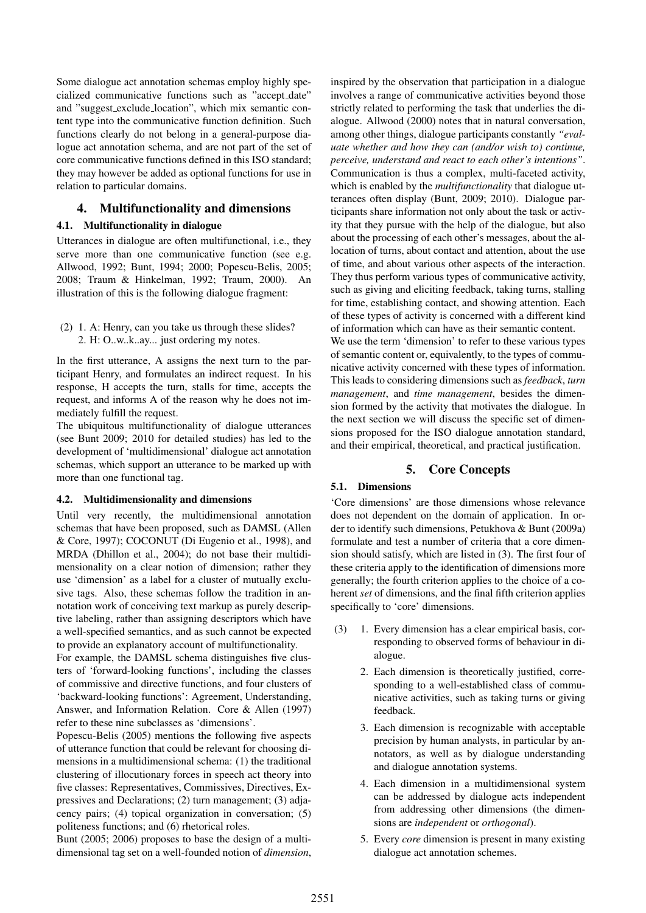Some dialogue act annotation schemas employ highly specialized communicative functions such as "accept date" and "suggest exclude location", which mix semantic content type into the communicative function definition. Such functions clearly do not belong in a general-purpose dialogue act annotation schema, and are not part of the set of core communicative functions defined in this ISO standard; they may however be added as optional functions for use in relation to particular domains.

## 4. Multifunctionality and dimensions

#### 4.1. Multifunctionality in dialogue

Utterances in dialogue are often multifunctional, i.e., they serve more than one communicative function (see e.g. Allwood, 1992; Bunt, 1994; 2000; Popescu-Belis, 2005; 2008; Traum & Hinkelman, 1992; Traum, 2000). An illustration of this is the following dialogue fragment:

(2) 1. A: Henry, can you take us through these slides? 2. H: O..w..k..ay... just ordering my notes.

In the first utterance, A assigns the next turn to the participant Henry, and formulates an indirect request. In his response, H accepts the turn, stalls for time, accepts the request, and informs A of the reason why he does not immediately fulfill the request.

The ubiquitous multifunctionality of dialogue utterances (see Bunt 2009; 2010 for detailed studies) has led to the development of 'multidimensional' dialogue act annotation schemas, which support an utterance to be marked up with more than one functional tag.

#### 4.2. Multidimensionality and dimensions

Until very recently, the multidimensional annotation schemas that have been proposed, such as DAMSL (Allen & Core, 1997); COCONUT (Di Eugenio et al., 1998), and MRDA (Dhillon et al., 2004); do not base their multidimensionality on a clear notion of dimension; rather they use 'dimension' as a label for a cluster of mutually exclusive tags. Also, these schemas follow the tradition in annotation work of conceiving text markup as purely descriptive labeling, rather than assigning descriptors which have a well-specified semantics, and as such cannot be expected to provide an explanatory account of multifunctionality.

For example, the DAMSL schema distinguishes five clusters of 'forward-looking functions', including the classes of commissive and directive functions, and four clusters of 'backward-looking functions': Agreement, Understanding, Answer, and Information Relation. Core & Allen (1997) refer to these nine subclasses as 'dimensions'.

Popescu-Belis (2005) mentions the following five aspects of utterance function that could be relevant for choosing dimensions in a multidimensional schema: (1) the traditional clustering of illocutionary forces in speech act theory into five classes: Representatives, Commissives, Directives, Expressives and Declarations; (2) turn management; (3) adjacency pairs; (4) topical organization in conversation; (5) politeness functions; and (6) rhetorical roles.

Bunt (2005; 2006) proposes to base the design of a multidimensional tag set on a well-founded notion of *dimension*, inspired by the observation that participation in a dialogue involves a range of communicative activities beyond those strictly related to performing the task that underlies the dialogue. Allwood (2000) notes that in natural conversation, among other things, dialogue participants constantly *"evaluate whether and how they can (and/or wish to) continue, perceive, understand and react to each other's intentions"*. Communication is thus a complex, multi-faceted activity, which is enabled by the *multifunctionality* that dialogue utterances often display (Bunt, 2009; 2010). Dialogue participants share information not only about the task or activity that they pursue with the help of the dialogue, but also about the processing of each other's messages, about the allocation of turns, about contact and attention, about the use of time, and about various other aspects of the interaction. They thus perform various types of communicative activity, such as giving and eliciting feedback, taking turns, stalling for time, establishing contact, and showing attention. Each of these types of activity is concerned with a different kind of information which can have as their semantic content. We use the term 'dimension' to refer to these various types of semantic content or, equivalently, to the types of communicative activity concerned with these types of information. This leads to considering dimensions such as *feedback*, *turn management*, and *time management*, besides the dimension formed by the activity that motivates the dialogue. In the next section we will discuss the specific set of dimensions proposed for the ISO dialogue annotation standard, and their empirical, theoretical, and practical justification.

## 5. Core Concepts

#### 5.1. Dimensions

'Core dimensions' are those dimensions whose relevance does not dependent on the domain of application. In order to identify such dimensions, Petukhova & Bunt (2009a) formulate and test a number of criteria that a core dimension should satisfy, which are listed in (3). The first four of these criteria apply to the identification of dimensions more generally; the fourth criterion applies to the choice of a coherent *set* of dimensions, and the final fifth criterion applies specifically to 'core' dimensions.

- (3) 1. Every dimension has a clear empirical basis, corresponding to observed forms of behaviour in dialogue.
	- 2. Each dimension is theoretically justified, corresponding to a well-established class of communicative activities, such as taking turns or giving feedback.
	- 3. Each dimension is recognizable with acceptable precision by human analysts, in particular by annotators, as well as by dialogue understanding and dialogue annotation systems.
	- 4. Each dimension in a multidimensional system can be addressed by dialogue acts independent from addressing other dimensions (the dimensions are *independent* or *orthogonal*).
	- 5. Every *core* dimension is present in many existing dialogue act annotation schemes.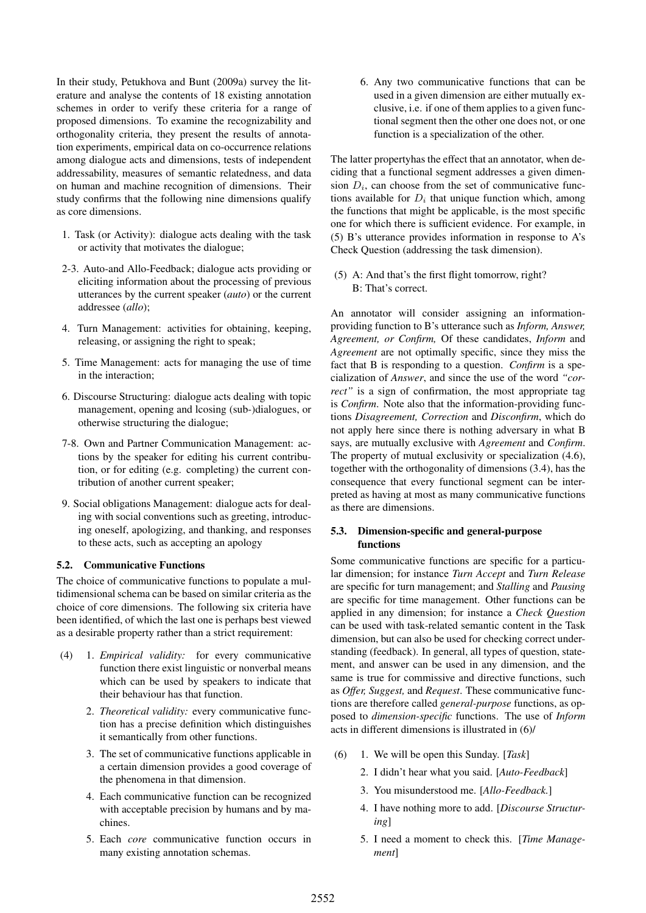In their study, Petukhova and Bunt (2009a) survey the literature and analyse the contents of 18 existing annotation schemes in order to verify these criteria for a range of proposed dimensions. To examine the recognizability and orthogonality criteria, they present the results of annotation experiments, empirical data on co-occurrence relations among dialogue acts and dimensions, tests of independent addressability, measures of semantic relatedness, and data on human and machine recognition of dimensions. Their study confirms that the following nine dimensions qualify as core dimensions.

- 1. Task (or Activity): dialogue acts dealing with the task or activity that motivates the dialogue;
- 2-3. Auto-and Allo-Feedback; dialogue acts providing or eliciting information about the processing of previous utterances by the current speaker (*auto*) or the current addressee (*allo*);
- 4. Turn Management: activities for obtaining, keeping, releasing, or assigning the right to speak;
- 5. Time Management: acts for managing the use of time in the interaction;
- 6. Discourse Structuring: dialogue acts dealing with topic management, opening and lcosing (sub-)dialogues, or otherwise structuring the dialogue;
- 7-8. Own and Partner Communication Management: actions by the speaker for editing his current contribution, or for editing (e.g. completing) the current contribution of another current speaker;
- 9. Social obligations Management: dialogue acts for dealing with social conventions such as greeting, introducing oneself, apologizing, and thanking, and responses to these acts, such as accepting an apology

#### 5.2. Communicative Functions

The choice of communicative functions to populate a multidimensional schema can be based on similar criteria as the choice of core dimensions. The following six criteria have been identified, of which the last one is perhaps best viewed as a desirable property rather than a strict requirement:

- (4) 1. *Empirical validity:* for every communicative function there exist linguistic or nonverbal means which can be used by speakers to indicate that their behaviour has that function.
	- 2. *Theoretical validity:* every communicative function has a precise definition which distinguishes it semantically from other functions.
	- 3. The set of communicative functions applicable in a certain dimension provides a good coverage of the phenomena in that dimension.
	- 4. Each communicative function can be recognized with acceptable precision by humans and by machines.
	- 5. Each *core* communicative function occurs in many existing annotation schemas.

6. Any two communicative functions that can be used in a given dimension are either mutually exclusive, i.e. if one of them applies to a given functional segment then the other one does not, or one function is a specialization of the other.

The latter propertyhas the effect that an annotator, when deciding that a functional segment addresses a given dimension  $D_i$ , can choose from the set of communicative functions available for  $D_i$  that unique function which, among the functions that might be applicable, is the most specific one for which there is sufficient evidence. For example, in (5) B's utterance provides information in response to A's Check Question (addressing the task dimension).

(5) A: And that's the first flight tomorrow, right? B: That's correct.

An annotator will consider assigning an informationproviding function to B's utterance such as *Inform, Answer, Agreement, or Confirm,* Of these candidates, *Inform* and *Agreement* are not optimally specific, since they miss the fact that B is responding to a question. *Confirm* is a specialization of *Answer*, and since the use of the word *"correct"* is a sign of confirmation, the most appropriate tag is *Confirm*. Note also that the information-providing functions *Disagreement, Correction* and *Disconfirm*, which do not apply here since there is nothing adversary in what B says, are mutually exclusive with *Agreement* and *Confirm*. The property of mutual exclusivity or specialization (4.6), together with the orthogonality of dimensions (3.4), has the consequence that every functional segment can be interpreted as having at most as many communicative functions as there are dimensions.

### 5.3. Dimension-specific and general-purpose functions

Some communicative functions are specific for a particular dimension; for instance *Turn Accept* and *Turn Release* are specific for turn management; and *Stalling* and *Pausing* are specific for time management. Other functions can be applied in any dimension; for instance a *Check Question* can be used with task-related semantic content in the Task dimension, but can also be used for checking correct understanding (feedback). In general, all types of question, statement, and answer can be used in any dimension, and the same is true for commissive and directive functions, such as *Offer, Suggest,* and *Request*. These communicative functions are therefore called *general-purpose* functions, as opposed to *dimension-specific* functions. The use of *Inform* acts in different dimensions is illustrated in (6)/

- (6) 1. We will be open this Sunday. [*Task*]
	- 2. I didn't hear what you said. [*Auto-Feedback*]
	- 3. You misunderstood me. [*Allo-Feedback.*]
	- 4. I have nothing more to add. [*Discourse Structuring*]
	- 5. I need a moment to check this. [*Time Management*]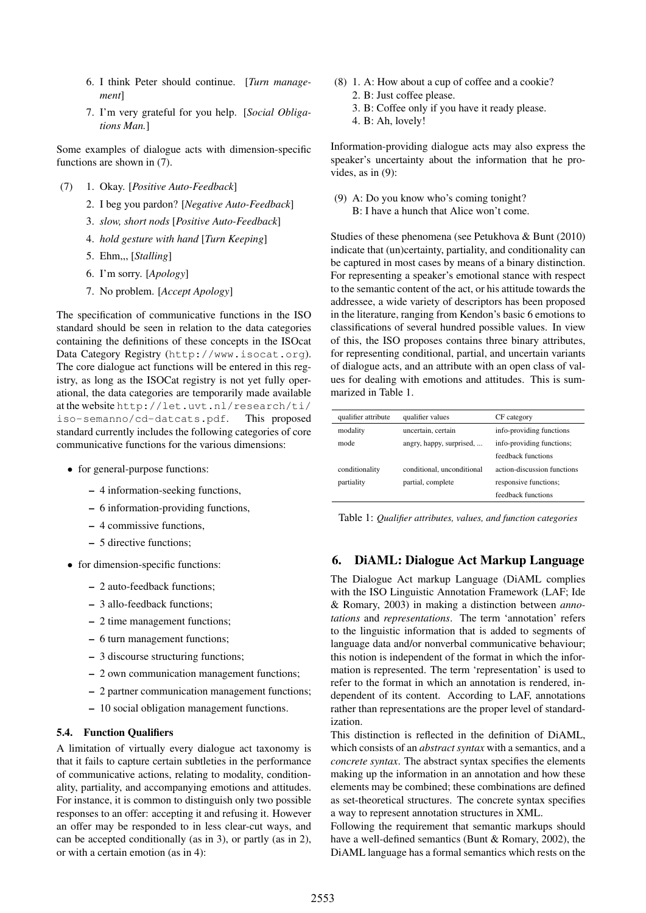- 6. I think Peter should continue. [*Turn management*]
- 7. I'm very grateful for you help. [*Social Obligations Man.*]

Some examples of dialogue acts with dimension-specific functions are shown in (7).

- (7) 1. Okay. [*Positive Auto-Feedback*]
	- 2. I beg you pardon? [*Negative Auto-Feedback*]
	- 3. *slow, short nods* [*Positive Auto-Feedback*]
	- 4. *hold gesture with hand* [*Turn Keeping*]
	- 5. Ehm,,, [*Stalling*]
	- 6. I'm sorry. [*Apology*]
	- 7. No problem. [*Accept Apology*]

The specification of communicative functions in the ISO standard should be seen in relation to the data categories containing the definitions of these concepts in the ISOcat Data Category Registry (http://www.isocat.org). The core dialogue act functions will be entered in this registry, as long as the ISOCat registry is not yet fully operational, the data categories are temporarily made available at the website http://let.uvt.nl/research/ti/ iso-semanno/cd-datcats.pdf. This proposed standard currently includes the following categories of core communicative functions for the various dimensions:

- for general-purpose functions:
	- 4 information-seeking functions,
	- 6 information-providing functions,
	- 4 commissive functions,
	- 5 directive functions;
- for dimension-specific functions:
	- 2 auto-feedback functions;
	- 3 allo-feedback functions;
	- 2 time management functions;
	- 6 turn management functions;
	- 3 discourse structuring functions;
	- 2 own communication management functions;
	- 2 partner communication management functions;
	- 10 social obligation management functions.

#### 5.4. Function Qualifiers

A limitation of virtually every dialogue act taxonomy is that it fails to capture certain subtleties in the performance of communicative actions, relating to modality, conditionality, partiality, and accompanying emotions and attitudes. For instance, it is common to distinguish only two possible responses to an offer: accepting it and refusing it. However an offer may be responded to in less clear-cut ways, and can be accepted conditionally (as in 3), or partly (as in 2), or with a certain emotion (as in 4):

- (8) 1. A: How about a cup of coffee and a cookie? 2. B: Just coffee please.
	- 3. B: Coffee only if you have it ready please.
	- 4. B: Ah, lovely!

Information-providing dialogue acts may also express the speaker's uncertainty about the information that he provides, as in (9):

(9) A: Do you know who's coming tonight? B: I have a hunch that Alice won't come.

Studies of these phenomena (see Petukhova & Bunt (2010) indicate that (un)certainty, partiality, and conditionality can be captured in most cases by means of a binary distinction. For representing a speaker's emotional stance with respect to the semantic content of the act, or his attitude towards the addressee, a wide variety of descriptors has been proposed in the literature, ranging from Kendon's basic 6 emotions to classifications of several hundred possible values. In view of this, the ISO proposes contains three binary attributes, for representing conditional, partial, and uncertain variants of dialogue acts, and an attribute with an open class of values for dealing with emotions and attitudes. This is summarized in Table 1.

| qualifier attribute | qualifier values           | CF category                 |
|---------------------|----------------------------|-----------------------------|
| modality            | uncertain, certain         | info-providing functions    |
| mode                | angry, happy, surprised,   | info-providing functions;   |
|                     |                            | feedback functions          |
| conditionality      | conditional, unconditional | action-discussion functions |
| partiality          | partial, complete          | responsive functions;       |
|                     |                            | feedback functions          |

Table 1: *Qualifier attributes, values, and function categories*

## 6. DiAML: Dialogue Act Markup Language

The Dialogue Act markup Language (DiAML complies with the ISO Linguistic Annotation Framework (LAF; Ide & Romary, 2003) in making a distinction between *annotations* and *representations*. The term 'annotation' refers to the linguistic information that is added to segments of language data and/or nonverbal communicative behaviour; this notion is independent of the format in which the information is represented. The term 'representation' is used to refer to the format in which an annotation is rendered, independent of its content. According to LAF, annotations rather than representations are the proper level of standardization.

This distinction is reflected in the definition of DiAML, which consists of an *abstract syntax* with a semantics, and a *concrete syntax*. The abstract syntax specifies the elements making up the information in an annotation and how these elements may be combined; these combinations are defined as set-theoretical structures. The concrete syntax specifies a way to represent annotation structures in XML.

Following the requirement that semantic markups should have a well-defined semantics (Bunt & Romary, 2002), the DiAML language has a formal semantics which rests on the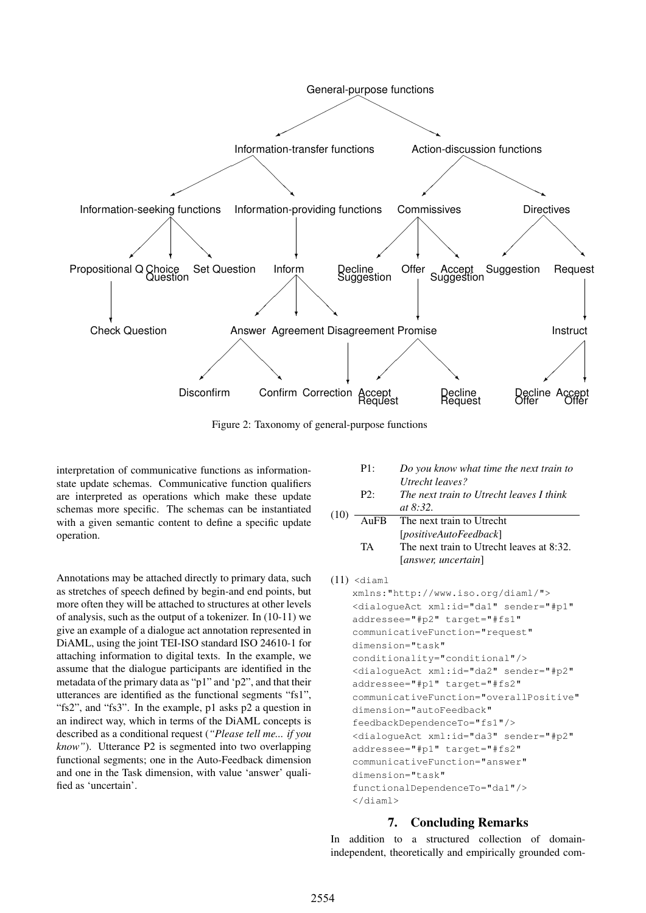

Figure 2: Taxonomy of general-purpose functions

 $(1)$ 

interpretation of communicative functions as informationstate update schemas. Communicative function qualifiers are interpreted as operations which make these update schemas more specific. The schemas can be instantiated with a given semantic content to define a specific update operation.

Annotations may be attached directly to primary data, such as stretches of speech defined by begin-and end points, but more often they will be attached to structures at other levels of analysis, such as the output of a tokenizer. In (10-11) we give an example of a dialogue act annotation represented in DiAML, using the joint TEI-ISO standard ISO 24610-1 for attaching information to digital texts. In the example, we assume that the dialogue participants are identified in the metadata of the primary data as "p1" and 'p2", and that their utterances are identified as the functional segments "fs1", "fs2", and "fs3". In the example, p1 asks p2 a question in an indirect way, which in terms of the DiAML concepts is described as a conditional request (*"Please tell me... if you know"*). Utterance P2 is segmented into two overlapping functional segments; one in the Auto-Feedback dimension and one in the Task dimension, with value 'answer' qualified as 'uncertain'.

| $P2$ : | Utrecht leaves?<br>The next train to Utrecht leaves I think<br><i>at</i> $8:32$ . |
|--------|-----------------------------------------------------------------------------------|
|        | AuFB The next train to Utrecht                                                    |
|        | [positiveAutoFeedback]                                                            |
| TA     | The next train to Utrecht leaves at 8:32.                                         |
|        | <i>canswer, uncertain</i>                                                         |

P1: *Do you know what time the next train to*

```
(11) <diaml
```

```
xmlns:"http://www.iso.org/diaml/">
<dialogueAct xml:id="da1" sender="#p1"
addressee="#p2" target="#fs1"
communicativeFunction="request"
dimension="task"
conditionality="conditional"/>
<dialogueAct xml:id="da2" sender="#p2"
addressee="#p1" target="#fs2"
communicativeFunction="overallPositive"
dimension="autoFeedback"
feedbackDependenceTo="fs1"/>
<dialogueAct xml:id="da3" sender="#p2"
addressee="#p1" target="#fs2"
communicativeFunction="answer"
dimension="task"
functionalDependenceTo="da1"/>
</diaml>
```
## 7. Concluding Remarks

In addition to a structured collection of domainindependent, theoretically and empirically grounded com